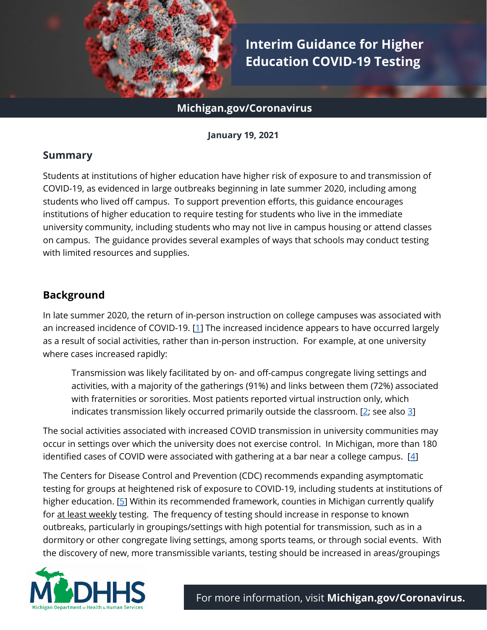

# **Interim Guidance for Higher Education COVID-19 Testing**

### **Michigan.gov/Coronavirus**

**January 19, 2021**

#### **Summary**

Students at institutions of higher education have higher risk of exposure to and transmission of COVID-19, as evidenced in large outbreaks beginning in late summer 2020, including among students who lived off campus. To support prevention efforts, this guidance encourages institutions of higher education to require testing for students who live in the immediate university community, including students who may not live in campus housing or attend classes on campus. The guidance provides several examples of ways that schools may conduct testing with limited resources and supplies.

# **Background**

In late summer 2020, the return of in-person instruction on college campuses was associated with an increased incidence of COVID-19. [\[1\]](https://www.cdc.gov/mmwr/volumes/70/wr/mm7001a4.htm) The increased incidence appears to have occurred largely as a result of social activities, rather than in-person instruction. For example, at one university where cases increased rapidly:

Transmission was likely facilitated by on- and off-campus congregate living settings and activities, with a majority of the gatherings (91%) and links between them (72%) associated with fraternities or sororities. Most patients reported virtual instruction only, which indicates transmission likely occurred primarily outside the classroom. [ $2$ ; see also  $3$ ]

The social activities associated with increased COVID transmission in university communities may occur in settings over which the university does not exercise control. In Michigan, more than 180 identified cases of COVID were associated with gathering at a bar near a college campus.  $[4]$ 

The Centers for Disease Control and Prevention (CDC) recommends expanding asymptomatic testing for groups at heightened risk of exposure to COVID-19, including students at institutions of higher education. [\[5\]](https://www.cdc.gov/coronavirus/2019-ncov/php/open-america/expanded-screening-testing.html) Within its recommended framework, counties in Michigan currently qualify for at least weekly testing. The frequency of testing should increase in response to known outbreaks, particularly in groupings/settings with high potential for transmission, such as in a dormitory or other congregate living settings, among sports teams, or through social events. With the discovery of new, more transmissible variants, testing should be increased in areas/groupings

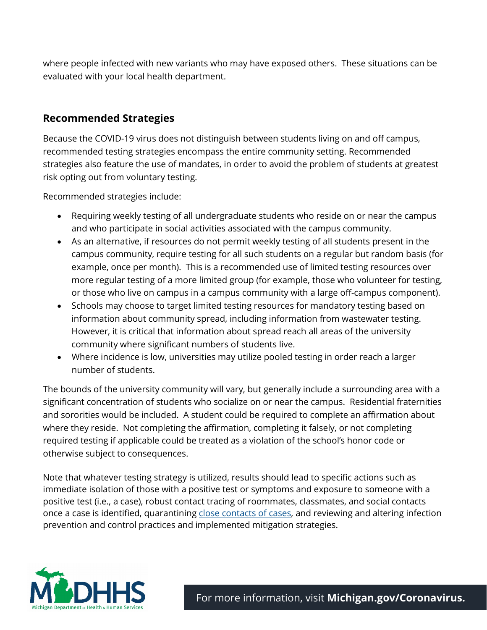where people infected with new variants who may have exposed others. These situations can be evaluated with your local health department.

## **Recommended Strategies**

Because the COVID-19 virus does not distinguish between students living on and off campus, recommended testing strategies encompass the entire community setting. Recommended strategies also feature the use of mandates, in order to avoid the problem of students at greatest risk opting out from voluntary testing.

Recommended strategies include:

- Requiring weekly testing of all undergraduate students who reside on or near the campus and who participate in social activities associated with the campus community.
- As an alternative, if resources do not permit weekly testing of all students present in the campus community, require testing for all such students on a regular but random basis (for example, once per month). This is a recommended use of limited testing resources over more regular testing of a more limited group (for example, those who volunteer for testing, or those who live on campus in a campus community with a large off-campus component).
- Schools may choose to target limited testing resources for mandatory testing based on information about community spread, including information from wastewater testing. However, it is critical that information about spread reach all areas of the university community where significant numbers of students live.
- Where incidence is low, universities may utilize pooled testing in order reach a larger number of students.

The bounds of the university community will vary, but generally include a surrounding area with a significant concentration of students who socialize on or near the campus. Residential fraternities and sororities would be included. A student could be required to complete an affirmation about where they reside. Not completing the affirmation, completing it falsely, or not completing required testing if applicable could be treated as a violation of the school's honor code or otherwise subject to consequences.

Note that whatever testing strategy is utilized, results should lead to specific actions such as immediate isolation of those with a positive test or symptoms and exposure to someone with a positive test (i.e., a case), robust contact tracing of roommates, classmates, and social contacts once a case is identified, quarantining [close contacts](https://www.cdc.gov/coronavirus/2019-ncov/php/contact-tracing/contact-tracing-plan/appendix.html#contact) of cases, and reviewing and altering infection prevention and control practices and implemented mitigation strategies.